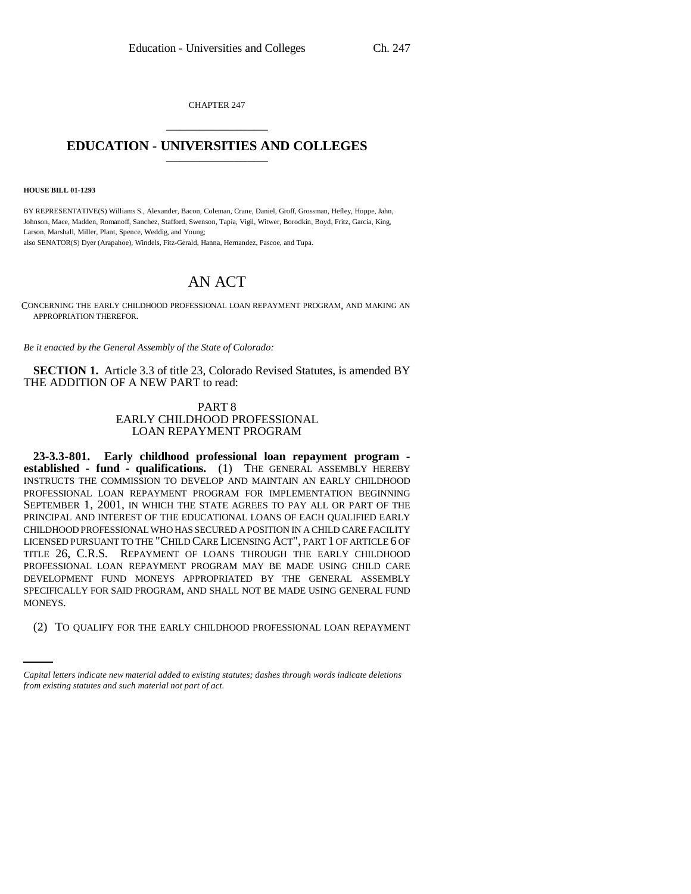CHAPTER 247 \_\_\_\_\_\_\_\_\_\_\_\_\_\_\_

## **EDUCATION - UNIVERSITIES AND COLLEGES** \_\_\_\_\_\_\_\_\_\_\_\_\_\_\_

**HOUSE BILL 01-1293**

BY REPRESENTATIVE(S) Williams S., Alexander, Bacon, Coleman, Crane, Daniel, Groff, Grossman, Hefley, Hoppe, Jahn, Johnson, Mace, Madden, Romanoff, Sanchez, Stafford, Swenson, Tapia, Vigil, Witwer, Borodkin, Boyd, Fritz, Garcia, King, Larson, Marshall, Miller, Plant, Spence, Weddig, and Young; also SENATOR(S) Dyer (Arapahoe), Windels, Fitz-Gerald, Hanna, Hernandez, Pascoe, and Tupa.

## AN ACT

CONCERNING THE EARLY CHILDHOOD PROFESSIONAL LOAN REPAYMENT PROGRAM, AND MAKING AN APPROPRIATION THEREFOR.

*Be it enacted by the General Assembly of the State of Colorado:*

**SECTION 1.** Article 3.3 of title 23, Colorado Revised Statutes, is amended BY THE ADDITION OF A NEW PART to read:

## PART 8 EARLY CHILDHOOD PROFESSIONAL LOAN REPAYMENT PROGRAM

MONEYS. **23-3.3-801. Early childhood professional loan repayment program established - fund - qualifications.** (1) THE GENERAL ASSEMBLY HEREBY INSTRUCTS THE COMMISSION TO DEVELOP AND MAINTAIN AN EARLY CHILDHOOD PROFESSIONAL LOAN REPAYMENT PROGRAM FOR IMPLEMENTATION BEGINNING SEPTEMBER 1, 2001, IN WHICH THE STATE AGREES TO PAY ALL OR PART OF THE PRINCIPAL AND INTEREST OF THE EDUCATIONAL LOANS OF EACH QUALIFIED EARLY CHILDHOOD PROFESSIONAL WHO HAS SECURED A POSITION IN A CHILD CARE FACILITY LICENSED PURSUANT TO THE "CHILD CARE LICENSING ACT", PART 1 OF ARTICLE 6 OF TITLE 26, C.R.S. REPAYMENT OF LOANS THROUGH THE EARLY CHILDHOOD PROFESSIONAL LOAN REPAYMENT PROGRAM MAY BE MADE USING CHILD CARE DEVELOPMENT FUND MONEYS APPROPRIATED BY THE GENERAL ASSEMBLY SPECIFICALLY FOR SAID PROGRAM, AND SHALL NOT BE MADE USING GENERAL FUND

(2) TO QUALIFY FOR THE EARLY CHILDHOOD PROFESSIONAL LOAN REPAYMENT

*Capital letters indicate new material added to existing statutes; dashes through words indicate deletions from existing statutes and such material not part of act.*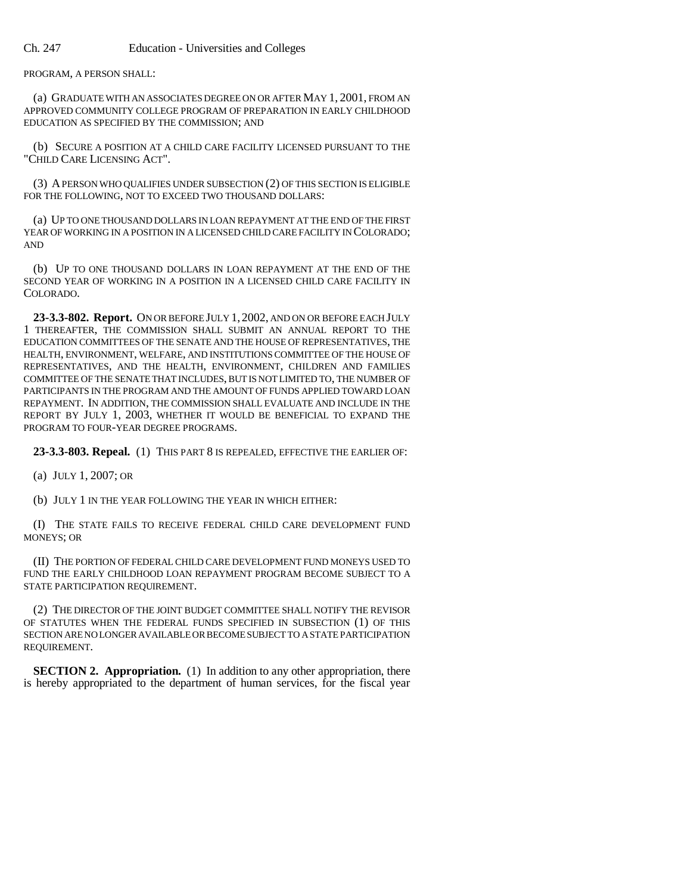PROGRAM, A PERSON SHALL:

(a) GRADUATE WITH AN ASSOCIATES DEGREE ON OR AFTER MAY 1, 2001, FROM AN APPROVED COMMUNITY COLLEGE PROGRAM OF PREPARATION IN EARLY CHILDHOOD EDUCATION AS SPECIFIED BY THE COMMISSION; AND

(b) SECURE A POSITION AT A CHILD CARE FACILITY LICENSED PURSUANT TO THE "CHILD CARE LICENSING ACT".

(3) A PERSON WHO QUALIFIES UNDER SUBSECTION (2) OF THIS SECTION IS ELIGIBLE FOR THE FOLLOWING, NOT TO EXCEED TWO THOUSAND DOLLARS:

(a) UP TO ONE THOUSAND DOLLARS IN LOAN REPAYMENT AT THE END OF THE FIRST YEAR OF WORKING IN A POSITION IN A LICENSED CHILD CARE FACILITY IN COLORADO; AND

(b) UP TO ONE THOUSAND DOLLARS IN LOAN REPAYMENT AT THE END OF THE SECOND YEAR OF WORKING IN A POSITION IN A LICENSED CHILD CARE FACILITY IN COLORADO.

**23-3.3-802. Report.** ON OR BEFORE JULY 1, 2002, AND ON OR BEFORE EACH JULY 1 THEREAFTER, THE COMMISSION SHALL SUBMIT AN ANNUAL REPORT TO THE EDUCATION COMMITTEES OF THE SENATE AND THE HOUSE OF REPRESENTATIVES, THE HEALTH, ENVIRONMENT, WELFARE, AND INSTITUTIONS COMMITTEE OF THE HOUSE OF REPRESENTATIVES, AND THE HEALTH, ENVIRONMENT, CHILDREN AND FAMILIES COMMITTEE OF THE SENATE THAT INCLUDES, BUT IS NOT LIMITED TO, THE NUMBER OF PARTICIPANTS IN THE PROGRAM AND THE AMOUNT OF FUNDS APPLIED TOWARD LOAN REPAYMENT. IN ADDITION, THE COMMISSION SHALL EVALUATE AND INCLUDE IN THE REPORT BY JULY 1, 2003, WHETHER IT WOULD BE BENEFICIAL TO EXPAND THE PROGRAM TO FOUR-YEAR DEGREE PROGRAMS.

**23-3.3-803. Repeal.** (1) THIS PART 8 IS REPEALED, EFFECTIVE THE EARLIER OF:

(a) JULY 1, 2007; OR

(b) JULY 1 IN THE YEAR FOLLOWING THE YEAR IN WHICH EITHER:

(I) THE STATE FAILS TO RECEIVE FEDERAL CHILD CARE DEVELOPMENT FUND MONEYS; OR

(II) THE PORTION OF FEDERAL CHILD CARE DEVELOPMENT FUND MONEYS USED TO FUND THE EARLY CHILDHOOD LOAN REPAYMENT PROGRAM BECOME SUBJECT TO A STATE PARTICIPATION REQUIREMENT.

(2) THE DIRECTOR OF THE JOINT BUDGET COMMITTEE SHALL NOTIFY THE REVISOR OF STATUTES WHEN THE FEDERAL FUNDS SPECIFIED IN SUBSECTION (1) OF THIS SECTION ARE NO LONGER AVAILABLE OR BECOME SUBJECT TO A STATE PARTICIPATION REQUIREMENT.

**SECTION 2. Appropriation.** (1) In addition to any other appropriation, there is hereby appropriated to the department of human services, for the fiscal year